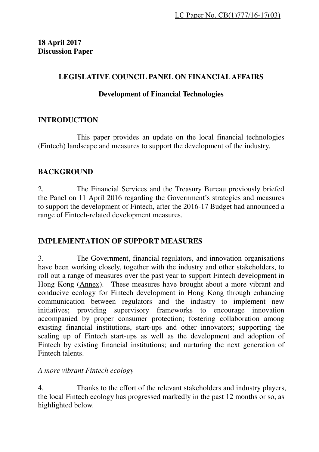## **LEGISLATIVE COUNCIL PANEL ON FINANCIAL AFFAIRS**

#### **Development of Financial Technologies**

## **INTRODUCTION**

 This paper provides an update on the local financial technologies (Fintech) landscape and measures to support the development of the industry.

## **BACKGROUND**

2. The Financial Services and the Treasury Bureau previously briefed the Panel on 11 April 2016 regarding the Government's strategies and measures to support the development of Fintech, after the 2016-17 Budget had announced a range of Fintech-related development measures.

# **IMPLEMENTATION OF SUPPORT MEASURES**

3. The Government, financial regulators, and innovation organisations have been working closely, together with the industry and other stakeholders, to roll out a range of measures over the past year to support Fintech development in Hong Kong (Annex). These measures have brought about a more vibrant and conducive ecology for Fintech development in Hong Kong through enhancing communication between regulators and the industry to implement new initiatives; providing supervisory frameworks to encourage innovation accompanied by proper consumer protection; fostering collaboration among existing financial institutions, start-ups and other innovators; supporting the scaling up of Fintech start-ups as well as the development and adoption of Fintech by existing financial institutions; and nurturing the next generation of Fintech talents.

#### *A more vibrant Fintech ecology*

4. Thanks to the effort of the relevant stakeholders and industry players, the local Fintech ecology has progressed markedly in the past 12 months or so, as highlighted below.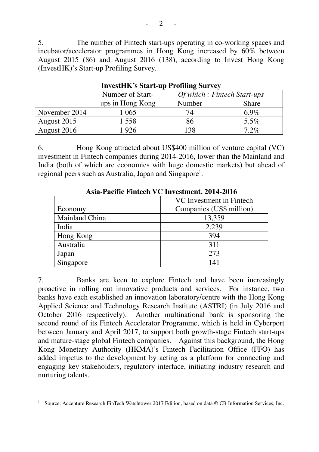5. The number of Fintech start-ups operating in co-working spaces and incubator/accelerator programmes in Hong Kong increased by 60% between August 2015 (86) and August 2016 (138), according to Invest Hong Kong (InvestHK)'s Start-up Profiling Survey.

|               | Number of Start- | <i>Of which: Fintech Start-ups</i> |              |
|---------------|------------------|------------------------------------|--------------|
|               | ups in Hong Kong | Number                             | <b>Share</b> |
| November 2014 | l 065            |                                    | 6.9%         |
| August 2015   | 1 558            | 86                                 | $5.5\%$      |
| August 2016   | 1 926            | 138                                | 7.2%         |

**InvestHK's Start-up Profiling Survey** 

6. Hong Kong attracted about US\$400 million of venture capital (VC) investment in Fintech companies during 2014-2016, lower than the Mainland and India (both of which are economies with huge domestic markets) but ahead of regional peers such as Australia, Japan and Singapore<sup>1</sup>.

| $1.98a - 1$ achive a mitten $\lambda \in \mathbb{R}$ in estiment, $201-2010$ |                          |  |
|------------------------------------------------------------------------------|--------------------------|--|
|                                                                              | VC Investment in Fintech |  |
| Economy                                                                      | Companies (US\$ million) |  |
| Mainland China                                                               | 13,359                   |  |
| India                                                                        | 2,239                    |  |
| Hong Kong                                                                    | 394                      |  |
| Australia                                                                    | 311                      |  |
| Japan                                                                        | 273                      |  |
| Singapore                                                                    | 14 <sup>1</sup>          |  |

#### **Asia-Pacific Fintech VC Investment, 2014-2016**

7. Banks are keen to explore Fintech and have been increasingly proactive in rolling out innovative products and services. For instance, two banks have each established an innovation laboratory/centre with the Hong Kong Applied Science and Technology Research Institute (ASTRI) (in July 2016 and October 2016 respectively). Another multinational bank is sponsoring the second round of its Fintech Accelerator Programme, which is held in Cyberport between January and April 2017, to support both growth-stage Fintech start-ups and mature-stage global Fintech companies. Against this background, the Hong Kong Monetary Authority (HKMA)'s Fintech Facilitation Office (FFO) has added impetus to the development by acting as a platform for connecting and engaging key stakeholders, regulatory interface, initiating industry research and nurturing talents.

 $\overline{a}$ 1 Source: Accenture Research FinTech Watchtower 2017 Edition, based on data © CB Information Services, Inc.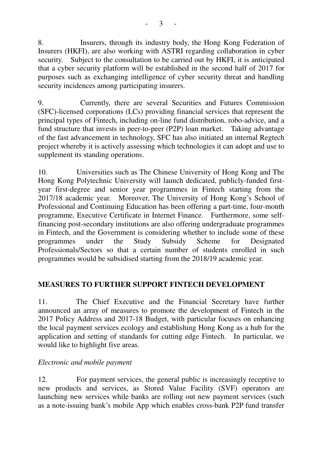8. Insurers, through its industry body, the Hong Kong Federation of Insurers (HKFI), are also working with ASTRI regarding collaboration in cyber security. Subject to the consultation to be carried out by HKFI, it is anticipated that a cyber security platform will be established in the second half of 2017 for purposes such as exchanging intelligence of cyber security threat and handling security incidences among participating insurers.

9. Currently, there are several Securities and Futures Commission (SFC)-licensed corporations (LCs) providing financial services that represent the principal types of Fintech, including on-line fund distribution, robo-advice, and a fund structure that invests in peer-to-peer (P2P) loan market. Taking advantage of the fast advancement in technology, SFC has also initiated an internal Regtech project whereby it is actively assessing which technologies it can adopt and use to supplement its standing operations.

10. Universities such as The Chinese University of Hong Kong and The Hong Kong Polytechnic University will launch dedicated, publicly-funded firstyear first-degree and senior year programmes in Fintech starting from the 2017/18 academic year. Moreover, The University of Hong Kong's School of Professional and Continuing Education has been offering a part-time, four-month programme, Executive Certificate in Internet Finance. Furthermore, some selffinancing post-secondary institutions are also offering undergraduate programmes in Fintech, and the Government is considering whether to include some of these programmes under the Study Subsidy Scheme for Designated Professionals/Sectors so that a certain number of students enrolled in such programmes would be subsidised starting from the 2018/19 academic year.

# **MEASURES TO FURTHER SUPPORT FINTECH DEVELOPMENT**

11. The Chief Executive and the Financial Secretary have further announced an array of measures to promote the development of Fintech in the 2017 Policy Address and 2017-18 Budget, with particular focuses on enhancing the local payment services ecology and establishing Hong Kong as a hub for the application and setting of standards for cutting edge Fintech. In particular, we would like to highlight five areas.

# *Electronic and mobile payment*

12. For payment services, the general public is increasingly receptive to new products and services, as Stored Value Facility (SVF) operators are launching new services while banks are rolling out new payment services (such as a note-issuing bank's mobile App which enables cross-bank P2P fund transfer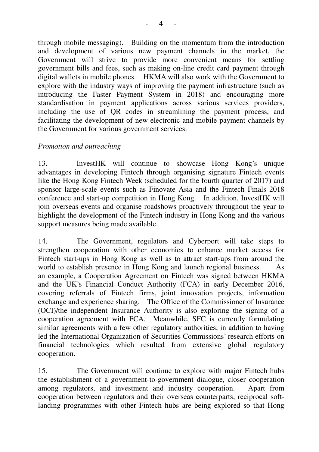through mobile messaging). Building on the momentum from the introduction and development of various new payment channels in the market, the Government will strive to provide more convenient means for settling government bills and fees, such as making on-line credit card payment through digital wallets in mobile phones. HKMA will also work with the Government to explore with the industry ways of improving the payment infrastructure (such as introducing the Faster Payment System in 2018) and encouraging more standardisation in payment applications across various services providers, including the use of QR codes in streamlining the payment process, and facilitating the development of new electronic and mobile payment channels by the Government for various government services.

#### *Promotion and outreaching*

13. InvestHK will continue to showcase Hong Kong's unique advantages in developing Fintech through organising signature Fintech events like the Hong Kong Fintech Week (scheduled for the fourth quarter of 2017) and sponsor large-scale events such as Finovate Asia and the Fintech Finals 2018 conference and start-up competition in Hong Kong. In addition, InvestHK will join overseas events and organise roadshows proactively throughout the year to highlight the development of the Fintech industry in Hong Kong and the various support measures being made available.

14. The Government, regulators and Cyberport will take steps to strengthen cooperation with other economies to enhance market access for Fintech start-ups in Hong Kong as well as to attract start-ups from around the world to establish presence in Hong Kong and launch regional business. As an example, a Cooperation Agreement on Fintech was signed between HKMA and the UK's Financial Conduct Authority (FCA) in early December 2016, covering referrals of Fintech firms, joint innovation projects, information exchange and experience sharing. The Office of the Commissioner of Insurance (OCI)/the independent Insurance Authority is also exploring the signing of a cooperation agreement with FCA. Meanwhile, SFC is currently formulating similar agreements with a few other regulatory authorities, in addition to having led the International Organization of Securities Commissions' research efforts on financial technologies which resulted from extensive global regulatory cooperation.

15. The Government will continue to explore with major Fintech hubs the establishment of a government-to-government dialogue, closer cooperation among regulators, and investment and industry cooperation. Apart from cooperation between regulators and their overseas counterparts, reciprocal softlanding programmes with other Fintech hubs are being explored so that Hong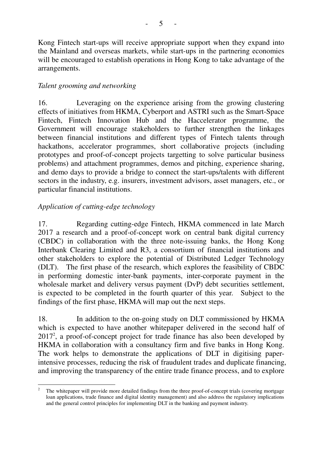Kong Fintech start-ups will receive appropriate support when they expand into the Mainland and overseas markets, while start-ups in the partnering economies will be encouraged to establish operations in Hong Kong to take advantage of the arrangements.

#### *Talent grooming and networking*

16. Leveraging on the experience arising from the growing clustering effects of initiatives from HKMA, Cyberport and ASTRI such as the Smart-Space Fintech, Fintech Innovation Hub and the Haccelerator programme, the Government will encourage stakeholders to further strengthen the linkages between financial institutions and different types of Fintech talents through hackathons, accelerator programmes, short collaborative projects (including prototypes and proof-of-concept projects targetting to solve particular business problems) and attachment programmes, demos and pitching, experience sharing, and demo days to provide a bridge to connect the start-ups/talents with different sectors in the industry, e.g. insurers, investment advisors, asset managers, etc., or particular financial institutions.

# *Application of cutting-edge technology*

17. Regarding cutting-edge Fintech, HKMA commenced in late March 2017 a research and a proof-of-concept work on central bank digital currency (CBDC) in collaboration with the three note-issuing banks, the Hong Kong Interbank Clearing Limited and R3, a consortium of financial institutions and other stakeholders to explore the potential of Distributed Ledger Technology (DLT). The first phase of the research, which explores the feasibility of CBDC in performing domestic inter-bank payments, inter-corporate payment in the wholesale market and delivery versus payment (DvP) debt securities settlement, is expected to be completed in the fourth quarter of this year. Subject to the findings of the first phase, HKMA will map out the next steps.

18. In addition to the on-going study on DLT commissioned by HKMA which is expected to have another whitepaper delivered in the second half of 2017<sup>2</sup> , a proof-of-concept project for trade finance has also been developed by HKMA in collaboration with a consultancy firm and five banks in Hong Kong. The work helps to demonstrate the applications of DLT in digitising paperintensive processes, reducing the risk of fraudulent trades and duplicate financing, and improving the transparency of the entire trade finance process, and to explore

 $\overline{a}$ 2 The whitepaper will provide more detailed findings from the three proof-of-concept trials (covering mortgage loan applications, trade finance and digital identity management) and also address the regulatory implications and the general control principles for implementing DLT in the banking and payment industry.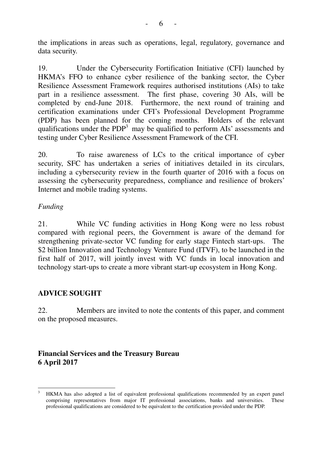the implications in areas such as operations, legal, regulatory, governance and data security.

19. Under the Cybersecurity Fortification Initiative (CFI) launched by HKMA's FFO to enhance cyber resilience of the banking sector, the Cyber Resilience Assessment Framework requires authorised institutions (AIs) to take part in a resilience assessment. The first phase, covering 30 AIs, will be completed by end-June 2018. Furthermore, the next round of training and certification examinations under CFI's Professional Development Programme (PDP) has been planned for the coming months. Holders of the relevant qualifications under the  $PDP<sup>3</sup>$  may be qualified to perform AIs' assessments and testing under Cyber Resilience Assessment Framework of the CFI.

20. To raise awareness of LCs to the critical importance of cyber security, SFC has undertaken a series of initiatives detailed in its circulars, including a cybersecurity review in the fourth quarter of 2016 with a focus on assessing the cybersecurity preparedness, compliance and resilience of brokers' Internet and mobile trading systems.

#### *Funding*

21. While VC funding activities in Hong Kong were no less robust compared with regional peers, the Government is aware of the demand for strengthening private-sector VC funding for early stage Fintech start-ups. The \$2 billion Innovation and Technology Venture Fund (ITVF), to be launched in the first half of 2017, will jointly invest with VC funds in local innovation and technology start-ups to create a more vibrant start-up ecosystem in Hong Kong.

#### **ADVICE SOUGHT**

22. Members are invited to note the contents of this paper, and comment on the proposed measures.

## **Financial Services and the Treasury Bureau 6 April 2017**

 $\overline{a}$ 3 HKMA has also adopted a list of equivalent professional qualifications recommended by an expert panel comprising representatives from major IT professional associations, banks and universities. These professional qualifications are considered to be equivalent to the certification provided under the PDP.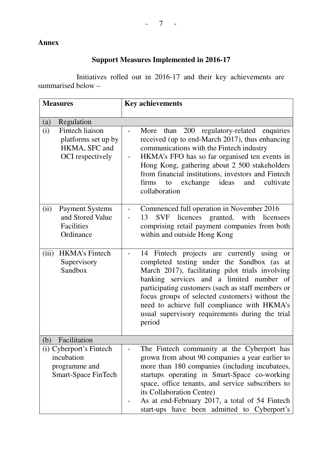# **Annex**

# **Support Measures Implemented in 2016-17**

 Initiatives rolled out in 2016-17 and their key achievements are summarised below –

| <b>Measures</b>          |                                                                                      | <b>Key achievements</b>                                                                                                                                                                                                                                                                                                                                                                                         |
|--------------------------|--------------------------------------------------------------------------------------|-----------------------------------------------------------------------------------------------------------------------------------------------------------------------------------------------------------------------------------------------------------------------------------------------------------------------------------------------------------------------------------------------------------------|
| $\left( \text{a}\right)$ | Regulation                                                                           |                                                                                                                                                                                                                                                                                                                                                                                                                 |
| (i)                      | Fintech liaison<br>platforms set up by<br>HKMA, SFC and<br>OCI respectively          | 200 regulatory-related enquiries<br>More<br>than<br>$\overline{\phantom{0}}$<br>received (up to end-March 2017), thus enhancing<br>communications with the Fintech industry<br>HKMA's FFO has so far organised ten events in<br>Hong Kong, gathering about 2 500 stakeholders<br>from financial institutions, investors and Fintech<br>exchange<br>ideas<br>cultivate<br>firms<br>and<br>to<br>collaboration    |
| (ii)                     | <b>Payment Systems</b><br>and Stored Value<br>Facilities<br>Ordinance                | Commenced full operation in November 2016<br>SVF licences granted, with licensees<br>13<br>comprising retail payment companies from both<br>within and outside Hong Kong                                                                                                                                                                                                                                        |
| (iii)                    | <b>HKMA's Fintech</b><br>Supervisory<br>Sandbox                                      | 14 Fintech projects are currently using<br>or<br>completed testing under the Sandbox (as at<br>March 2017), facilitating pilot trials involving<br>banking services and a limited number of<br>participating customers (such as staff members or<br>focus groups of selected customers) without the<br>need to achieve full compliance with HKMA's<br>usual supervisory requirements during the trial<br>period |
| (b)                      | Facilitation                                                                         |                                                                                                                                                                                                                                                                                                                                                                                                                 |
|                          | (i) Cyberport's Fintech<br>incubation<br>programme and<br><b>Smart-Space FinTech</b> | The Fintech community at the Cyberport has<br>grown from about 90 companies a year earlier to<br>more than 180 companies (including incubatees,<br>startups operating in Smart-Space co-working<br>space, office tenants, and service subscribers to<br>its Collaboration Centre)<br>As at end-February 2017, a total of 54 Fintech<br>start-ups have been admitted to Cyberport's                              |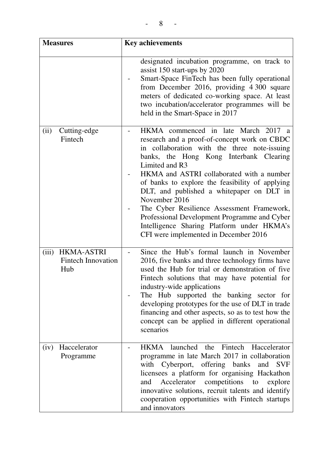| <b>Measures</b>                                                | <b>Key achievements</b>                                                                                                                                                                                                                                                                                                                                                                                                                                                                                                                              |
|----------------------------------------------------------------|------------------------------------------------------------------------------------------------------------------------------------------------------------------------------------------------------------------------------------------------------------------------------------------------------------------------------------------------------------------------------------------------------------------------------------------------------------------------------------------------------------------------------------------------------|
|                                                                | designated incubation programme, on track to<br>assist 150 start-ups by 2020<br>Smart-Space FinTech has been fully operational<br>from December 2016, providing 4 300 square<br>meters of dedicated co-working space. At least<br>two incubation/accelerator programmes will be<br>held in the Smart-Space in 2017                                                                                                                                                                                                                                   |
| Cutting-edge<br>(ii)<br>Fintech                                | HKMA commenced in late March 2017 a<br>research and a proof-of-concept work on CBDC<br>in collaboration with the three note-issuing<br>banks, the Hong Kong Interbank Clearing<br>Limited and R3<br>HKMA and ASTRI collaborated with a number<br>of banks to explore the feasibility of applying<br>DLT, and published a white paper on DLT in<br>November 2016<br>The Cyber Resilience Assessment Framework,<br>Professional Development Programme and Cyber<br>Intelligence Sharing Platform under HKMA's<br>CFI were implemented in December 2016 |
| <b>HKMA-ASTRI</b><br>(iii)<br><b>Fintech Innovation</b><br>Hub | Since the Hub's formal launch in November<br>2016, five banks and three technology firms have<br>used the Hub for trial or demonstration of five<br>Fintech solutions that may have potential for<br>industry-wide applications<br>The Hub supported the banking sector for<br>developing prototypes for the use of DLT in trade<br>financing and other aspects, so as to test how the<br>concept can be applied in different operational<br>scenarios                                                                                               |
| Haccelerator<br>(iv)<br>Programme                              | HKMA launched the Fintech Haccelerator<br>programme in late March 2017 in collaboration<br>with Cyberport, offering banks and<br><b>SVF</b><br>licensees a platform for organising Hackathon<br>competitions<br>Accelerator<br>to<br>explore<br>and<br>innovative solutions, recruit talents and identify<br>cooperation opportunities with Fintech startups<br>and innovators                                                                                                                                                                       |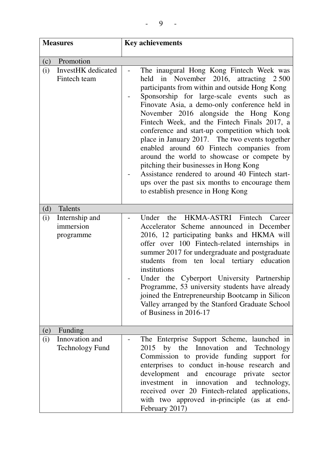| <b>Measures</b> |                                                        | <b>Key achievements</b>                                                                                                                                                                                                                                                                                                                                                                                                                                                                                                                                                                                                                                                                                         |
|-----------------|--------------------------------------------------------|-----------------------------------------------------------------------------------------------------------------------------------------------------------------------------------------------------------------------------------------------------------------------------------------------------------------------------------------------------------------------------------------------------------------------------------------------------------------------------------------------------------------------------------------------------------------------------------------------------------------------------------------------------------------------------------------------------------------|
|                 |                                                        |                                                                                                                                                                                                                                                                                                                                                                                                                                                                                                                                                                                                                                                                                                                 |
| (c)<br>(i)      | Promotion<br><b>InvestHK</b> dedicated<br>Fintech team | The inaugural Hong Kong Fintech Week was<br>held in November 2016, attracting 2500<br>participants from within and outside Hong Kong<br>Sponsorship for large-scale events such as<br>Finovate Asia, a demo-only conference held in<br>November 2016 alongside the Hong Kong<br>Fintech Week, and the Fintech Finals 2017, a<br>conference and start-up competition which took<br>place in January 2017. The two events together<br>enabled around 60 Fintech companies from<br>around the world to showcase or compete by<br>pitching their businesses in Hong Kong<br>Assistance rendered to around 40 Fintech start-<br>ups over the past six months to encourage them<br>to establish presence in Hong Kong |
| (d)             | Talents                                                |                                                                                                                                                                                                                                                                                                                                                                                                                                                                                                                                                                                                                                                                                                                 |
| (i)             | Internship and<br>immersion<br>programme               | HKMA-ASTRI Fintech<br>Under<br>the<br>Career<br>Accelerator Scheme announced in December<br>2016, 12 participating banks and HKMA will<br>offer over 100 Fintech-related internships in<br>summer 2017 for undergraduate and postgraduate<br>students from ten local tertiary education<br>institutions<br>Under the Cyberport University Partnership<br>Programme, 53 university students have already<br>joined the Entrepreneurship Bootcamp in Silicon<br>Valley arranged by the Stanford Graduate School<br>of Business in 2016-17                                                                                                                                                                         |
| (e)<br>(i)      | Funding<br>Innovation and<br><b>Technology Fund</b>    | The Enterprise Support Scheme, launched in<br>2015 by the Innovation<br>and Technology<br>Commission to provide funding<br>support for<br>enterprises to conduct in-house research and<br>development and encourage private sector<br>investment in innovation<br>and<br>technology,<br>received over 20 Fintech-related applications,<br>with two approved in-principle (as at end-<br>February 2017)                                                                                                                                                                                                                                                                                                          |